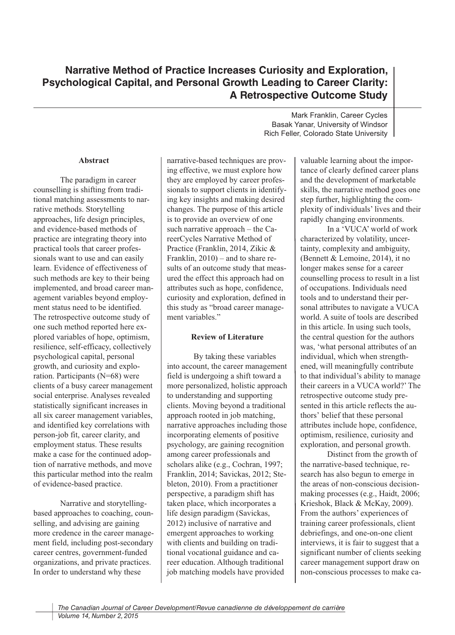## **Abstract**

The paradigm in career counselling is shifting from traditional matching assessments to narrative methods. Storytelling approaches, life design principles, and evidence-based methods of practice are integrating theory into practical tools that career professionals want to use and can easily learn. Evidence of effectiveness of such methods are key to their being implemented, and broad career management variables beyond employment status need to be identified. The retrospective outcome study of one such method reported here explored variables of hope, optimism, resilience, self-efficacy, collectively psychological capital, personal growth, and curiosity and exploration. Participants (N=68) were clients of a busy career management social enterprise. Analyses revealed statistically significant increases in all six career management variables, and identified key correlations with person-job fit, career clarity, and employment status. These results make a case for the continued adoption of narrative methods, and move this particular method into the realm of evidence-based practice.

Narrative and storytellingbased approaches to coaching, counselling, and advising are gaining more credence in the career management field, including post-secondary career centres, government-funded organizations, and private practices. In order to understand why these

narrative-based techniques are proving effective, we must explore how they are employed by career professionals to support clients in identifying key insights and making desired changes. The purpose of this article is to provide an overview of one such narrative approach – the CareerCycles Narrative Method of Practice (Franklin, 2014, Zikic & Franklin, 2010) – and to share results of an outcome study that measured the effect this approach had on attributes such as hope, confidence, curiosity and exploration, defined in this study as "broad career management variables."

## **Review of Literature**

By taking these variables into account, the career management field is undergoing a shift toward a more personalized, holistic approach to understanding and supporting clients. Moving beyond a traditional approach rooted in job matching, narrative approaches including those incorporating elements of positive psychology, are gaining recognition among career professionals and scholars alike (e.g., Cochran, 1997; Franklin, 2014; Savickas, 2012; Stebleton, 2010). From a practitioner perspective, a paradigm shift has taken place, which incorporates a life design paradigm (Savickas, 2012) inclusive of narrative and emergent approaches to working with clients and building on traditional vocational guidance and career education. Although traditional job matching models have provided

Mark Franklin, Career Cycles Basak Yanar, University of Windsor Rich Feller, Colorado State University

> valuable learning about the importance of clearly defined career plans and the development of marketable skills, the narrative method goes one step further, highlighting the complexity of individuals' lives and their rapidly changing environments.

> In a 'VUCA' world of work characterized by volatility, uncertainty, complexity and ambiguity, (Bennett & Lemoine, 2014), it no longer makes sense for a career counselling process to result in a list of occupations. Individuals need tools and to understand their personal attributes to navigate a VUCA world. A suite of tools are described in this article. In using such tools, the central question for the authors was, 'what personal attributes of an individual, which when strengthened, will meaningfully contribute to that individual's ability to manage their careers in a VUCA world?' The retrospective outcome study presented in this article reflects the authors' belief that these personal attributes include hope, confidence, optimism, resilience, curiosity and exploration, and personal growth.

> Distinct from the growth of the narrative-based technique, research has also begun to emerge in the areas of non-conscious decisionmaking processes (e.g., Haidt, 2006; Krieshok, Black & McKay, 2009). From the authors' experiences of training career professionals, client debriefings, and one-on-one client interviews, it is fair to suggest that a significant number of clients seeking career management support draw on non-conscious processes to make ca-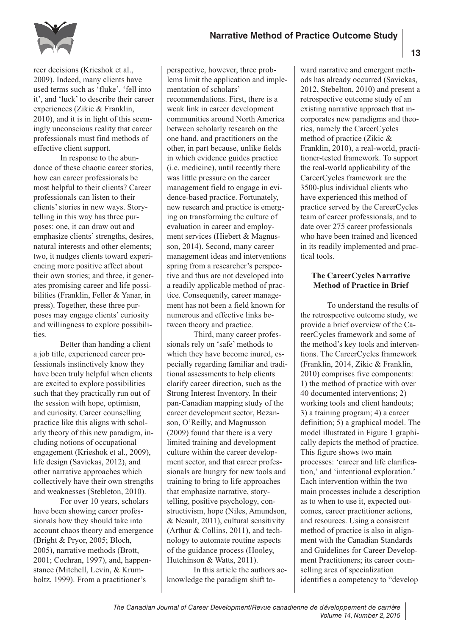

reer decisions (Krieshok et al., 2009). Indeed, many clients have used terms such as 'fluke', 'fell into it', and 'luck' to describe their career experiences (Zikic & Franklin, 2010), and it is in light of this seemingly unconscious reality that career professionals must find methods of effective client support.

In response to the abundance of these chaotic career stories, how can career professionals be most helpful to their clients? Career professionals can listen to their clients'stories in new ways. Storytelling in this way has three purposes: one, it can draw out and emphasize clients' strengths, desires, natural interests and other elements; two, it nudges clients toward experiencing more positive affect about their own stories; and three, it generates promising career and life possibilities (Franklin, Feller & Yanar, in press). Together, these three purposes may engage clients' curiosity and willingness to explore possibilities.

Better than handing a client a job title, experienced career professionals instinctively know they have been truly helpful when clients are excited to explore possibilities such that they practically run out of the session with hope, optimism, and curiosity. Career counselling practice like this aligns with scholarly theory of this new paradigm, including notions of occupational engagement (Krieshok et al., 2009), life design (Savickas, 2012), and other narrative approaches which collectively have their own strengths and weaknesses (Stebleton, 2010).

For over 10 years, scholars have been showing career professionals how they should take into account chaos theory and emergence (Bright & Pryor, 2005; Bloch, 2005), narrative methods (Brott, 2001; Cochran, 1997), and, happenstance (Mitchell, Levin, & Krumboltz, 1999). From a practitioner's

perspective, however, three problems limit the application and implementation of scholars' recommendations. First, there is a weak link in career development communities around North America between scholarly research on the one hand, and practitioners on the other, in part because, unlike fields in which evidence guides practice (i.e. medicine), until recently there was little pressure on the career management field to engage in evidence-based practice. Fortunately, new research and practice is emerging on transforming the culture of evaluation in career and employment services (Hiebert & Magnusson, 2014). Second, many career management ideas and interventions spring from a researcher's perspective and thus are not developed into a readily applicable method of practice. Consequently, career management has not been a field known for numerous and effective links between theory and practice.

Third, many career professionals rely on 'safe' methods to which they have become inured, especially regarding familiar and traditional assessments to help clients clarify career direction, such as the Strong Interest Inventory. In their pan-Canadian mapping study of the career development sector, Bezanson, O'Reilly, and Magnusson (2009) found that there is a very limited training and development culture within the career development sector, and that career professionals are hungry for new tools and training to bring to life approaches that emphasize narrative, storytelling, positive psychology, constructivism, hope (Niles, Amundson, & Neault, 2011), cultural sensitivity (Arthur & Collins, 2011), and technology to automate routine aspects of the guidance process (Hooley, Hutchinson & Watts, 2011).

In this article the authors acknowledge the paradigm shift toward narrative and emergent methods has already occurred (Savickas, 2012, Stebelton, 2010) and present a retrospective outcome study of an existing narrative approach that incorporates new paradigms and theories, namely the CareerCycles method of practice (Zikic & Franklin, 2010), a real-world, practitioner-tested framework. To support the real-world applicability of the CareerCycles framework are the 3500-plus individual clients who have experienced this method of practice served by the CareerCycles team of career professionals, and to date over 275 career professionals who have been trained and licenced in its readily implemented and practical tools.

## **The CareerCycles Narrative Method of Practice in Brief**

To understand the results of the retrospective outcome study, we provide a brief overview of the CareerCycles framework and some of the method's key tools and interventions. The CareerCycles framework (Franklin, 2014, Zikic & Franklin, 2010) comprises five components: 1) the method of practice with over 40 documented interventions; 2) working tools and client handouts; 3) a training program; 4) a career definition; 5) a graphical model. The model illustrated in Figure 1 graphically depicts the method of practice. This figure shows two main processes: 'career and life clarification,' and 'intentional exploration.' Each intervention within the two main processes include a description as to when to use it, expected outcomes, career practitioner actions, and resources. Using a consistent method of practice is also in alignment with the Canadian Standards and Guidelines for Career Development Practitioners; its career counselling area of specialization identifies a competency to "develop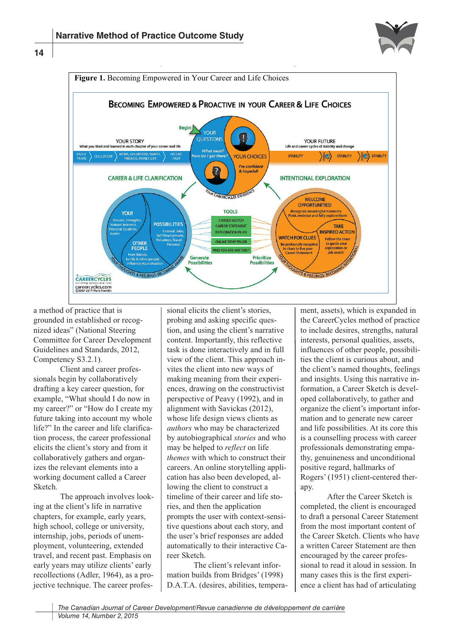





a method of practice that is grounded in established or recognized ideas" (National Steering Committee for Career Development Guidelines and Standards, 2012, Competency S3.2.1).

Client and career professionals begin by collaboratively drafting a key career question, for example, "What should I do now in my career?" or "How do I create my future taking into account my whole life?" In the career and life clarification process, the career professional elicits the client's story and from it collaboratively gathers and organizes the relevant elements into a working document called a Career Sketch.

The approach involves looking at the client's life in narrative chapters, for example, early years, high school, college or university, internship, jobs, periods of unemployment, volunteering, extended travel, and recent past. Emphasis on early years may utilize clients' early recollections (Adler, 1964), as a projective technique. The career profes-

sional elicits the client's stories, probing and asking specific question, and using the client's narrative content. Importantly, this reflective task is done interactively and in full view of the client. This approach invites the client into new ways of making meaning from their experiences, drawing on the constructivist perspective of Peavy (1992), and in alignment with Savickas (2012), whose life design views clients as *authors* who may be characterized by autobiographical *stories* and who may be helped to *reflect* on life *themes* with which to construct their careers. An online storytelling application has also been developed, allowing the client to construct a timeline of their career and life stories, and then the application prompts the user with context-sensitive questions about each story, and the user's brief responses are added automatically to their interactive Career Sketch.

The client's relevant information builds from Bridges' (1998) D.A.T.A. (desires, abilities, temperament, assets), which is expanded in the CareerCycles method of practice to include desires, strengths, natural interests, personal qualities, assets, influences of other people, possibilities the client is curious about, and the client's named thoughts, feelings and insights. Using this narrative information, a Career Sketch is developed collaboratively, to gather and organize the client's important information and to generate new career and life possibilities. At its core this is a counselling process with career professionals demonstrating empathy, genuineness and unconditional positive regard, hallmarks of Rogers' (1951) client-centered therapy.

After the Career Sketch is completed, the client is encouraged to draft a personal Career Statement from the most important content of the Career Sketch. Clients who have a written Career Statement are then encouraged by the career professional to read it aloud in session. In many cases this is the first experience a client has had of articulating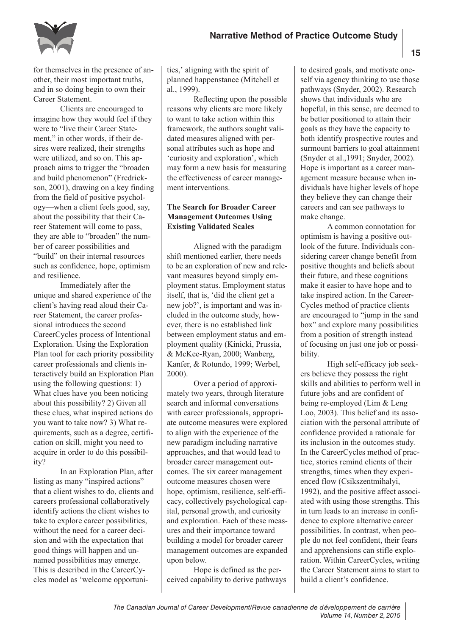

for themselves in the presence of another, their most important truths, and in so doing begin to own their Career Statement.

Clients are encouraged to imagine how they would feel if they were to "live their Career Statement," in other words, if their desires were realized, their strengths were utilized, and so on. This approach aims to trigger the "broaden and build phenomenon" (Fredrickson, 2001), drawing on a key finding from the field of positive psychology—when a client feels good, say, about the possibility that their Career Statement will come to pass, they are able to "broaden" the number of career possibilities and "build" on their internal resources such as confidence, hope, optimism and resilience.

Immediately after the unique and shared experience of the client's having read aloud their Career Statement, the career professional introduces the second CareerCycles process of Intentional Exploration. Using the Exploration Plan tool for each priority possibility career professionals and clients interactively build an Exploration Plan using the following questions: 1) What clues have you been noticing about this possibility? 2) Given all these clues, what inspired actions do you want to take now? 3) What requirements, such as a degree, certification on skill, might you need to acquire in order to do this possibility?

In an Exploration Plan, after listing as many "inspired actions" that a client wishes to do, clients and careers professional collaboratively identify actions the client wishes to take to explore career possibilities, without the need for a career decision and with the expectation that good things will happen and unnamed possibilities may emerge. This is described in the CareerCycles model as 'welcome opportunities,' aligning with the spirit of planned happenstance (Mitchell et al., 1999).

Reflecting upon the possible reasons why clients are more likely to want to take action within this framework, the authors sought validated measures aligned with personal attributes such as hope and 'curiosity and exploration', which may form a new basis for measuring the effectiveness of career management interventions.

# **The Search for Broader Career Management Outcomes Using Existing Validated Scales**

Aligned with the paradigm shift mentioned earlier, there needs to be an exploration of new and relevant measures beyond simply employment status. Employment status itself, that is, 'did the client get a new job?', is important and was included in the outcome study, however, there is no established link between employment status and employment quality (Kinicki, Prussia, & McKee-Ryan, 2000; Wanberg, Kanfer, & Rotundo, 1999; Werbel, 2000).

Over a period of approximately two years, through literature search and informal conversations with career professionals, appropriate outcome measures were explored to align with the experience of the new paradigm including narrative approaches, and that would lead to broader career management outcomes. The six career management outcome measures chosen were hope, optimism, resilience, self-efficacy, collectively psychological capital, personal growth, and curiosity and exploration. Each of these measures and their importance toward building a model for broader career management outcomes are expanded upon below.

Hope is defined as the perceived capability to derive pathways to desired goals, and motivate oneself via agency thinking to use those pathways (Snyder, 2002). Research shows that individuals who are hopeful, in this sense, are deemed to be better positioned to attain their goals as they have the capacity to both identify prospective routes and surmount barriers to goal attainment (Snyder et al.,1991; Snyder, 2002). Hope is important as a career management measure because when individuals have higher levels of hope they believe they can change their careers and can see pathways to make change.

A common connotation for optimism is having a positive outlook of the future. Individuals considering career change benefit from positive thoughts and beliefs about their future, and these cognitions make it easier to have hope and to take inspired action. In the Career-Cycles method of practice clients are encouraged to "jump in the sand box" and explore many possibilities from a position of strength instead of focusing on just one job or possibility.

High self-efficacy job seekers believe they possess the right skills and abilities to perform well in future jobs and are confident of being re-employed (Lim & Leng Loo, 2003). This belief and its association with the personal attribute of confidence provided a rationale for its inclusion in the outcomes study. In the CareerCycles method of practice, stories remind clients of their strengths, times when they experienced flow (Csikszentmihalyi, 1992), and the positive affect associated with using those strengths. This in turn leads to an increase in confidence to explore alternative career possibilities. In contrast, when people do not feel confident, their fears and apprehensions can stifle exploration. Within CareerCycles, writing the Career Statement aims to start to build a client's confidence.

*The Canadian Journal of Career Development/Revue canadienne de développement de carrière Volume 14, Number 2, 2015*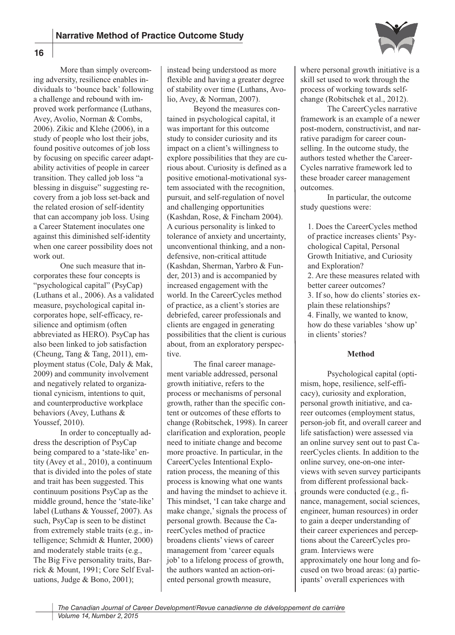

More than simply overcoming adversity, resilience enables individuals to 'bounce back' following a challenge and rebound with improved work performance (Luthans, Avey, Avolio, Norman & Combs, 2006). Zikic and Klehe (2006), in a study of people who lost their jobs, found positive outcomes of job loss by focusing on specific career adaptability activities of people in career transition. They called job loss "a blessing in disguise" suggesting recovery from a job loss set-back and the related erosion of self-identity that can accompany job loss. Using a Career Statement inoculates one against this diminished self-identity when one career possibility does not work out.

One such measure that incorporates these four concepts is "psychological capital" (PsyCap) (Luthans et al., 2006). As a validated measure, psychological capital incorporates hope, self-efficacy, resilience and optimism (often abbreviated as HERO). PsyCap has also been linked to job satisfaction (Cheung, Tang & Tang, 2011), employment status (Cole, Daly & Mak, 2009) and community involvement and negatively related to organizational cynicism, intentions to quit, and counterproductive workplace behaviors (Avey, Luthans & Youssef, 2010).

In order to conceptually address the description of PsyCap being compared to a 'state-like' entity (Avey et al., 2010), a continuum that is divided into the poles of state and trait has been suggested. This continuum positions PsyCap as the middle ground, hence the 'state-like' label (Luthans & Youssef, 2007). As such, PsyCap is seen to be distinct from extremely stable traits (e.g., intelligence; Schmidt & Hunter, 2000) and moderately stable traits (e.g., The Big Five personality traits, Barrick & Mount, 1991; Core Self Evaluations, Judge & Bono, 2001);

instead being understood as more flexible and having a greater degree of stability over time (Luthans, Avolio, Avey, & Norman, 2007).

Beyond the measures contained in psychological capital, it was important for this outcome study to consider curiosity and its impact on a client's willingness to explore possibilities that they are curious about. Curiosity is defined as a positive emotional-motivational system associated with the recognition, pursuit, and self-regulation of novel and challenging opportunities (Kashdan, Rose, & Fincham 2004). A curious personality is linked to tolerance of anxiety and uncertainty, unconventional thinking, and a nondefensive, non-critical attitude (Kashdan, Sherman, Yarbro & Funder, 2013) and is accompanied by increased engagement with the world. In the CareerCycles method of practice, as a client's stories are debriefed, career professionals and clients are engaged in generating possibilities that the client is curious about, from an exploratory perspective.

The final career management variable addressed, personal growth initiative, refers to the process or mechanisms of personal growth, rather than the specific content or outcomes of these efforts to change (Robitschek, 1998). In career clarification and exploration, people need to initiate change and become more proactive. In particular, in the CareerCycles Intentional Exploration process, the meaning of this process is knowing what one wants and having the mindset to achieve it. This mindset, 'I can take charge and make change,'signals the process of personal growth. Because the CareerCycles method of practice broadens clients' views of career management from 'career equals job' to a lifelong process of growth, the authors wanted an action-oriented personal growth measure,

where personal growth initiative is a skill set used to work through the process of working towards selfchange (Robitschek et al., 2012).

The CareerCycles narrative framework is an example of a newer post-modern, constructivist, and narrative paradigm for career counselling. In the outcome study, the authors tested whether the Career-Cycles narrative framework led to these broader career management outcomes.

In particular, the outcome study questions were:

1. Does the CareerCycles method of practice increases clients' Psychological Capital, Personal Growth Initiative, and Curiosity and Exploration? 2. Are these measures related with better career outcomes? 3. If so, how do clients'stories explain these relationships? 4. Finally, we wanted to know, how do these variables 'show up' in clients' stories?

## **Method**

Psychological capital (optimism, hope, resilience, self-efficacy), curiosity and exploration, personal growth initiative, and career outcomes (employment status, person-job fit, and overall career and life satisfaction) were assessed via an online survey sent out to past CareerCycles clients. In addition to the online survey, one-on-one interviews with seven survey participants from different professional backgrounds were conducted (e.g., finance, management, social sciences, engineer, human resources) in order to gain a deeper understanding of their career experiences and perceptions about the CareerCycles program. Interviews were approximately one hour long and focused on two broad areas: (a) participants' overall experiences with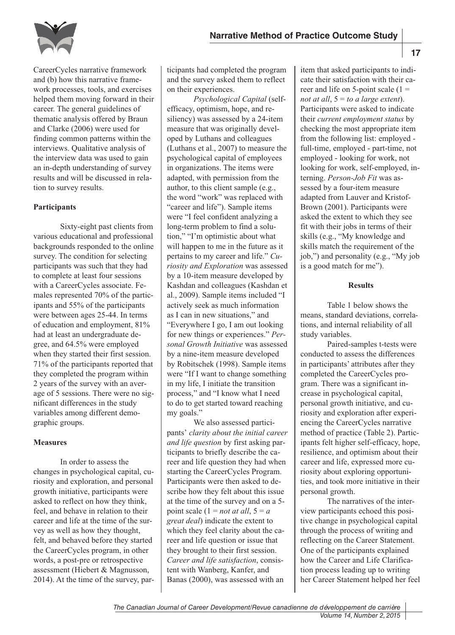

CareerCycles narrative framework and (b) how this narrative framework processes, tools, and exercises helped them moving forward in their career. The general guidelines of thematic analysis offered by Braun and Clarke (2006) were used for finding common patterns within the interviews. Qualitative analysis of the interview data was used to gain an in-depth understanding of survey results and will be discussed in relation to survey results.

## **Participants**

Sixty-eight past clients from various educational and professional backgrounds responded to the online survey. The condition for selecting participants was such that they had to complete at least four sessions with a CareerCycles associate. Females represented 70% of the participants and 55% of the participants were between ages 25-44. In terms of education and employment, 81% had at least an undergraduate degree, and 64.5% were employed when they started their first session. 71% of the participants reported that they completed the program within 2 years of the survey with an average of 5 sessions. There were no significant differences in the study variables among different demographic groups.

## **Measures**

In order to assess the changes in psychological capital, curiosity and exploration, and personal growth initiative, participants were asked to reflect on how they think, feel, and behave in relation to their career and life at the time of the survey as well as how they thought, felt, and behaved before they started the CareerCycles program, in other words, a post-pre or retrospective assessment (Hiebert & Magnusson, 2014). At the time of the survey, participants had completed the program and the survey asked them to reflect on their experiences.

*Psychological Capital* (selfefficacy, optimism, hope, and resiliency) was assessed by a 24-item measure that was originally developed by Luthans and colleagues (Luthans et al., 2007) to measure the psychological capital of employees in organizations. The items were adapted, with permission from the author, to this client sample (e.g., the word "work" was replaced with "career and life"). Sample items were "I feel confident analyzing a long-term problem to find a solution," "I'm optimistic about what will happen to me in the future as it pertains to my career and life." *Curiosity and Exploration* was assessed by a 10-item measure developed by Kashdan and colleagues (Kashdan et al., 2009). Sample items included "I actively seek as much information as I can in new situations," and "Everywhere I go, I am out looking for new things or experiences." *Personal Growth Initiative* was assessed by a nine-item measure developed by Robitschek (1998). Sample items were "If I want to change something in my life, I initiate the transition process," and "I know what I need to do to get started toward reaching my goals."

We also assessed participants' *clarity about the initial career and life question* by first asking participants to briefly describe the career and life question they had when starting the CareerCycles Program. Participants were then asked to describe how they felt about this issue at the time of the survey and on a 5 point scale  $(1 = not at all, 5 = a)$ *great deal*) indicate the extent to which they feel clarity about the career and life question or issue that they brought to their first session. *Career and life satisfaction*, consistent with Wanberg, Kanfer, and Banas (2000), was assessed with an

item that asked participants to indicate their satisfaction with their career and life on 5-point scale  $(1 =$ *not at all*,  $5 = to$  *a large extent*). Participants were asked to indicate their *current employment status* by checking the most appropriate item from the following list: employed full-time, employed - part-time, not employed - looking for work, not looking for work, self-employed, interning. *Person-Job Fit* was assessed by a four-item measure adapted from Lauver and Kristof-Brown (2001). Participants were asked the extent to which they see fit with their jobs in terms of their skills (e.g., "My knowledge and skills match the requirement of the job,") and personality (e.g., "My job is a good match for me").

### **Results**

Table 1 below shows the means, standard deviations, correlations, and internal reliability of all study variables.

Paired-samples t-tests were conducted to assess the differences in participants' attributes after they completed the CareerCycles program. There was a significant increase in psychological capital, personal growth initiative, and curiosity and exploration after experiencing the CareerCycles narrative method of practice (Table 2). Participants felt higher self-efficacy, hope, resilience, and optimism about their career and life, expressed more curiosity about exploring opportunities, and took more initiative in their personal growth.

The narratives of the interview participants echoed this positive change in psychological capital through the process of writing and reflecting on the Career Statement. One of the participants explained how the Career and Life Clarification process leading up to writing her Career Statement helped her feel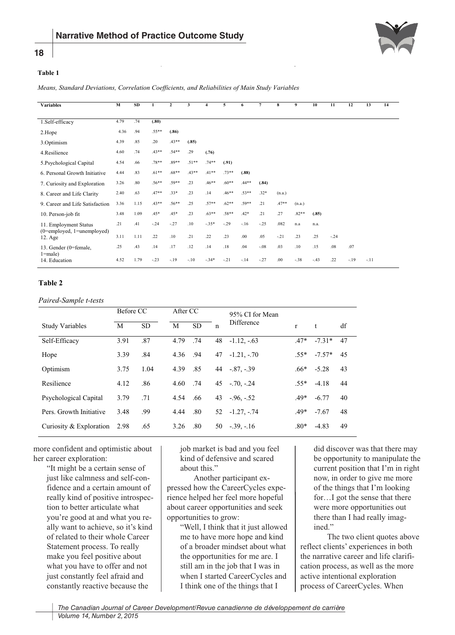

# **Table 1**

**18**

*Means, Standard Deviations, Correlation Coefficients, and Reliabilities of Main Study Variables* 

| <b>Variables</b>                                                   | $\mathbf M$ | <b>SD</b> | 1       | $\mathbf{2}$ | 3       | 4       | 5       | 6       | $\overline{7}$ | 8       | 9       | 10     | 11     | 12     | 13     | 14 |
|--------------------------------------------------------------------|-------------|-----------|---------|--------------|---------|---------|---------|---------|----------------|---------|---------|--------|--------|--------|--------|----|
|                                                                    |             |           |         |              |         |         |         |         |                |         |         |        |        |        |        |    |
| 1.Self-efficacy                                                    | 4.79        | .74       | (.80)   |              |         |         |         |         |                |         |         |        |        |        |        |    |
| 2.Hope                                                             | 4.36        | .94       | $.55**$ | (.86)        |         |         |         |         |                |         |         |        |        |        |        |    |
| 3.Optimism                                                         | 4.39        | .85       | .20     | $.43**$      | (.85)   |         |         |         |                |         |         |        |        |        |        |    |
| 4.Resilience                                                       | 4.60        | .74       | $.43**$ | $.54**$      | .29     | (.76)   |         |         |                |         |         |        |        |        |        |    |
| 5. Psychological Capital                                           | 4.54        | .66       | $.78**$ | 89**         | $.51**$ | $.74**$ | (.91)   |         |                |         |         |        |        |        |        |    |
| 6. Personal Growth Initiative                                      | 4.44        | .83       | $.61**$ | $.68**$      | $.43**$ | $.41**$ | $.73**$ | (.88)   |                |         |         |        |        |        |        |    |
| 7. Curiosity and Exploration                                       | 3.26        | .80       | $.56**$ | $.59**$      | .23     | $.46**$ | $.60**$ | .44**   | (.84)          |         |         |        |        |        |        |    |
| 8. Career and Life Clarity                                         | 2.40        | .63       | $.47**$ | $.33*$       | .23     | .14     | $.46**$ | $.53**$ | $.32*$         | (n.a.)  |         |        |        |        |        |    |
| 9. Career and Life Satisfaction                                    | 3.36        | 1.15      | $.43**$ | $.56**$      | .25     | $.57**$ | $.62**$ | $.59**$ | .21            | $.47**$ | (n.a.)  |        |        |        |        |    |
| 10. Person-job fit                                                 | 3.48        | 1.09      | $.45*$  | $.45*$       | .23     | $.63**$ | $.58**$ | $.42*$  | .21            | .27     | $.82**$ | (.85)  |        |        |        |    |
| 11. Employment Status                                              | .21         | .41       | $-.24$  | $-.27$       | .10     | $-.35*$ | $-.29$  | $-.16$  | $-.25$         | .082    | n.a     | n.a.   |        |        |        |    |
| $(0 = \text{employed}, 1 = \text{unemployed})$<br>$12. \text{Age}$ | 3.11        | 1.11      | .22     | .10          | .21     | .22     | .23     | .00     | .05            | $-.21$  | .23     | .25    | $-.24$ |        |        |    |
| 13. Gender (0=female,<br>$1 = male$ )                              | .25         | .43       | .14     | .17          | .12     | .14     | .18     | .04     | $-.08$         | .03     | .10     | .15    | .08    | .07    |        |    |
| 14. Education                                                      | 4.52        | 1.79      | $-.23$  | $-.19$       | $-.10$  | $-.34*$ | $-.21$  | $-.14$  | $-.27$         | .00     | $-38$   | $-.43$ | .22    | $-.19$ | $-.11$ |    |

## **Table 2**

*Paired-Sample t-tests* 

|                           | Before CC |           | After CC |           |              | 95% CI for Mean |              |          |    |
|---------------------------|-----------|-----------|----------|-----------|--------------|-----------------|--------------|----------|----|
| <b>Study Variables</b>    | M         | <b>SD</b> | M        | <b>SD</b> | $\mathsf{n}$ | Difference      | $\mathbf{r}$ | t        | df |
| Self-Efficacy             | 3.91      | .87       | 4.79     | .74       | 48           | $-1.12, -63$    | $.47*$       | $-7.31*$ | 47 |
| Hope                      | 3.39      | .84       | 4.36     | .94       | 47           | $-1.21, -70$    | $.55*$       | $-7.57*$ | 45 |
| Optimism                  | 3.75      | 1.04      | 4.39     | .85       | 44           | $-.87, -.39$    | .66*         | $-5.28$  | 43 |
| Resilience                | 4.12      | .86       | 4.60     | .74       |              | $45 - 70 - 24$  | $.55*$       | $-4.18$  | 44 |
| Psychological Capital     | 3.79      | .71       | 4.54     | .66       | 43           | $-96, -52$      | $.49*$       | $-6.77$  | 40 |
| Pers. Growth Initiative   | 3.48      | .99       | 4.44     | .80       | 52           | $-1.27, -74$    | $.49*$       | $-7.67$  | 48 |
| Curiosity $&$ Exploration | 2.98      | .65       | 3.26     | .80       | 50           | $-39, -16$      | $.80*$       | $-4.83$  | 49 |

more confident and optimistic about her career exploration:

> "It might be a certain sense of just like calmness and self-confidence and a certain amount of really kind of positive introspection to better articulate what you're good at and what you really want to achieve, so it's kind of related to their whole Career Statement process. To really make you feel positive about what you have to offer and not just constantly feel afraid and constantly reactive because the

job market is bad and you feel kind of defensive and scared about this."

Another participant expressed how the CareerCycles experience helped her feel more hopeful about career opportunities and seek opportunities to grow:

"Well, I think that it just allowed me to have more hope and kind of a broader mindset about what the opportunities for me are. I still am in the job that I was in when I started CareerCycles and I think one of the things that I

did discover was that there may be opportunity to manipulate the current position that I'm in right now, in order to give me more of the things that I'm looking for…I got the sense that there were more opportunities out there than I had really imagined."

The two client quotes above reflect clients' experiences in both the narrative career and life clarification process, as well as the more active intentional exploration process of CareerCycles. When

*The Canadian Journal of Career Development/Revue canadienne de développement de carrière Volume 14, Number 2, 2015*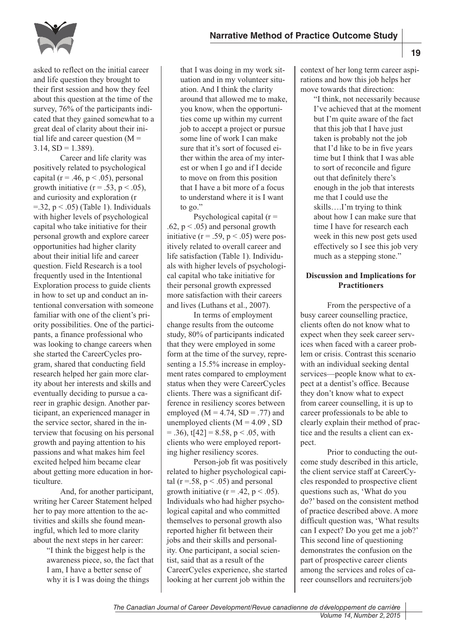

asked to reflect on the initial career and life question they brought to their first session and how they feel about this question at the time of the survey, 76% of the participants indicated that they gained somewhat to a great deal of clarity about their initial life and career question  $(M =$  $3.14, SD = 1.389$ ).

Career and life clarity was positively related to psychological capital ( $r = .46$ ,  $p < .05$ ), personal growth initiative ( $r = .53$ ,  $p < .05$ ), and curiosity and exploration (r  $=$ .32, p  $\le$  .05) (Table 1). Individuals with higher levels of psychological capital who take initiative for their personal growth and explore career opportunities had higher clarity about their initial life and career question. Field Research is a tool frequently used in the Intentional Exploration process to guide clients in how to set up and conduct an intentional conversation with someone familiar with one of the client's priority possibilities. One of the participants, a finance professional who was looking to change careers when she started the CareerCycles program, shared that conducting field research helped her gain more clarity about her interests and skills and eventually deciding to pursue a career in graphic design. Another participant, an experienced manager in the service sector, shared in the interview that focusing on his personal growth and paying attention to his passions and what makes him feel excited helped him became clear about getting more education in horticulture.

And, for another participant, writing her Career Statement helped her to pay more attention to the activities and skills she found meaningful, which led to more clarity about the next steps in her career:

> "I think the biggest help is the awareness piece, so, the fact that I am, I have a better sense of why it is I was doing the things

that I was doing in my work situation and in my volunteer situation. And I think the clarity around that allowed me to make, you know, when the opportunities come up within my current job to accept a project or pursue some line of work I can make sure that it's sort of focused either within the area of my interest or when I go and if I decide to move on from this position that I have a bit more of a focus to understand where it is I want to go."

Psychological capital  $(r =$ .62,  $p < .05$ ) and personal growth initiative ( $r = .59$ ,  $p < .05$ ) were positively related to overall career and life satisfaction (Table 1). Individuals with higher levels of psychological capital who take initiative for their personal growth expressed more satisfaction with their careers and lives (Luthans et al., 2007).

In terms of employment change results from the outcome study, 80% of participants indicated that they were employed in some form at the time of the survey, representing a 15.5% increase in employment rates compared to employment status when they were CareerCycles clients. There was a significant difference in resiliency scores between employed ( $M = 4.74$ , SD = .77) and unemployed clients  $(M = 4.09, SD$  $=$  .36), t[42] = 8.58, p < .05, with clients who were employed reporting higher resiliency scores.

Person-job fit was positively related to higher psychological capital ( $r = .58$ ,  $p < .05$ ) and personal growth initiative ( $r = .42$ ,  $p < .05$ ). Individuals who had higher psychological capital and who committed themselves to personal growth also reported higher fit between their jobs and their skills and personality. One participant, a social scientist, said that as a result of the CareerCycles experience, she started looking at her current job within the

context of her long term career aspirations and how this job helps her move towards that direction:

> "I think, not necessarily because I've achieved that at the moment but I'm quite aware of the fact that this job that I have just taken is probably not the job that I'd like to be in five years time but I think that I was able to sort of reconcile and figure out that definitely there's enough in the job that interests me that I could use the skills….I'm trying to think about how I can make sure that time I have for research each week in this new post gets used effectively so I see this job very much as a stepping stone."

## **Discussion and Implications for Practitioners**

From the perspective of a busy career counselling practice, clients often do not know what to expect when they seek career services when faced with a career problem or crisis. Contrast this scenario with an individual seeking dental services—people know what to expect at a dentist's office. Because they don't know what to expect from career counselling, it is up to career professionals to be able to clearly explain their method of practice and the results a client can expect.

Prior to conducting the outcome study described in this article, the client service staff at CareerCycles responded to prospective client questions such as, 'What do you do?' based on the consistent method of practice described above. A more difficult question was, 'What results can I expect? Do you get me a job?' This second line of questioning demonstrates the confusion on the part of prospective career clients among the services and roles of career counsellors and recruiters/job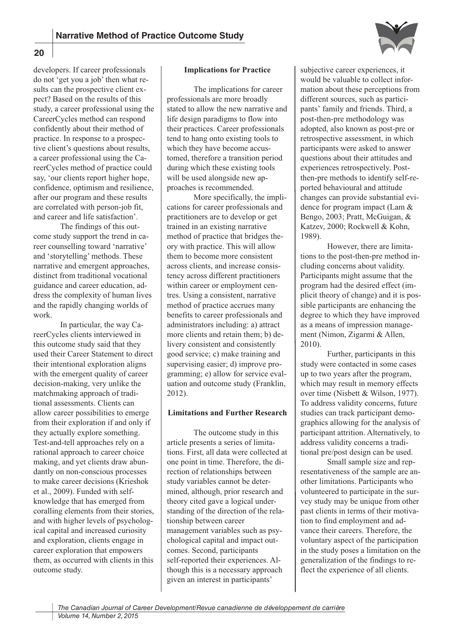

developers. If career professionals do not 'get you a job' then what results can the prospective client expect? Based on the results of this study, a career professional using the CareerCycles method can respond confidently about their method of practice. In response to a prospective client's questions about results, a career professional using the CareerCycles method of practice could say, 'our clients report higher hope, confidence, optimism and resilience, after our program and these results are correlated with person-job fit, and career and life satisfaction'.

The findings of this outcome study support the trend in career counselling toward 'narrative' and 'storytelling' methods. These narrative and emergent approaches, distinct from traditional vocational guidance and career education, address the complexity of human lives and the rapidly changing worlds of work.

In particular, the way CareerCycles clients interviewed in this outcome study said that they used their Career Statement to direct their intentional exploration aligns with the emergent quality of career decision-making, very unlike the matchmaking approach of traditional assessments. Clients can allow career possibilities to emerge from their exploration if and only if they actually explore something. Test-and-tell approaches rely on a rational approach to career choice making, and yet clients draw abundantly on non-conscious processes to make career decisions (Krieshok et al., 2009). Funded with selfknowledge that has emerged from coralling elements from their stories, and with higher levels of psychological capital and increased curiosity and exploration, clients engage in career exploration that empowers them, as occurred with clients in this outcome study.

## **Implications for Practice**

The implications for career professionals are more broadly stated to allow the new narrative and life design paradigms to flow into their practices. Career professionals tend to hang onto existing tools to which they have become accustomed, therefore a transition period during which these existing tools will be used alongside new approaches is recommended.

More specifically, the implications for career professionals and practitioners are to develop or get trained in an existing narrative method of practice that bridges theory with practice. This will allow them to become more consistent across clients, and increase consistency across different practitioners within career or employment centres. Using a consistent, narrative method of practice accrues many benefits to career professionals and administrators including: a) attract more clients and retain them; b) delivery consistent and consistently good service; c) make training and supervising easier; d) improve programming; e) allow for service evaluation and outcome study (Franklin, 2012).

#### **Limitations and Further Research**

The outcome study in this article presents a series of limitations. First, all data were collected at one point in time. Therefore, the direction of relationships between study variables cannot be determined, although, prior research and theory cited gave a logical understanding of the direction of the relationship between career management variables such as psychological capital and impact outcomes. Second, participants self-reported their experiences. Although this is a necessary approach given an interest in participants'

subjective career experiences, it would be valuable to collect information about these perceptions from different sources, such as participants' family and friends. Third, a post-then-pre methodology was adopted, also known as post-pre or retrospective assessment, in which participants were asked to answer questions about their attitudes and experiences retrospectively. Postthen-pre methods to identify self-reported behavioural and attitude changes can provide substantial evidence for program impact (Lam & Bengo, 2003; Pratt, McGuigan, & Katzev, 2000; Rockwell & Kohn, 1989).

However, there are limitations to the post-then-pre method including concerns about validity. Participants might assume that the program had the desired effect (implicit theory of change) and it is possible participants are enhancing the degree to which they have improved as a means of impression management (Nimon, Zigarmi & Allen, 2010).

Further, participants in this study were contacted in some cases up to two years after the program, which may result in memory effects over time (Nisbett & Wilson, 1977). To address validity concerns, future studies can track participant demographics allowing for the analysis of participant attrition. Alternatively, to address validity concerns a traditional pre/post design can be used.

Small sample size and representativeness of the sample are another limitations. Participants who volunteered to participate in the survey study may be unique from other past clients in terms of their motivation to find employment and advance their careers. Therefore, the voluntary aspect of the participation in the study poses a limitation on the generalization of the findings to reflect the experience of all clients.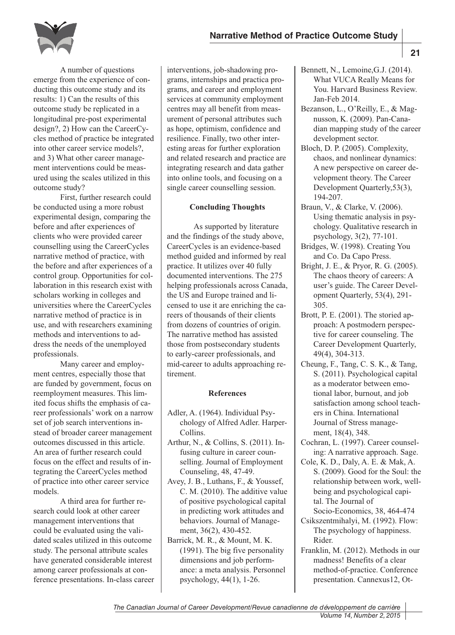

A number of questions emerge from the experience of conducting this outcome study and its results: 1) Can the results of this outcome study be replicated in a longitudinal pre-post experimental design?, 2) How can the CareerCycles method of practice be integrated into other career service models?, and 3) What other career management interventions could be measured using the scales utilized in this outcome study?

First, further research could be conducted using a more robust experimental design, comparing the before and after experiences of clients who were provided career counselling using the CareerCycles narrative method of practice, with the before and after experiences of a control group. Opportunities for collaboration in this research exist with scholars working in colleges and universities where the CareerCycles narrative method of practice is in use, and with researchers examining methods and interventions to address the needs of the unemployed professionals.

Many career and employment centres, especially those that are funded by government, focus on reemployment measures. This limited focus shifts the emphasis of career professionals' work on a narrow set of job search interventions instead of broader career management outcomes discussed in this article. An area of further research could focus on the effect and results of integrating the CareerCycles method of practice into other career service models.

A third area for further research could look at other career management interventions that could be evaluated using the validated scales utilized in this outcome study. The personal attribute scales have generated considerable interest among career professionals at conference presentations. In-class career interventions, job-shadowing programs, internships and practica programs, and career and employment services at community employment centres may all benefit from measurement of personal attributes such as hope, optimism, confidence and resilience. Finally, two other interesting areas for further exploration and related research and practice are integrating research and data gather into online tools, and focusing on a single career counselling session.

## **Concluding Thoughts**

As supported by literature and the findings of the study above, CareerCycles is an evidence-based method guided and informed by real practice. It utilizes over 40 fully documented interventions. The 275 helping professionals across Canada, the US and Europe trained and licensed to use it are enriching the careers of thousands of their clients from dozens of countries of origin. The narrative method has assisted those from postsecondary students to early-career professionals, and mid-career to adults approaching retirement.

## **References**

- Adler, A. (1964). Individual Psychology of Alfred Adler. Harper-Collins.
- Arthur, N., & Collins, S. (2011). Infusing culture in career counselling. Journal of Employment Counseling, 48, 47-49.
- Avey, J. B., Luthans, F., & Youssef, C. M. (2010). The additive value of positive psychological capital in predicting work attitudes and behaviors. Journal of Management, 36(2), 430-452.
- Barrick, M. R., & Mount, M. K. (1991). The big five personality dimensions and job performance: a meta analysis. Personnel psychology, 44(1), 1-26.
- Bennett, N., Lemoine,G.J. (2014). What VUCA Really Means for You. Harvard Business Review. Jan-Feb 2014.
- Bezanson, L., O'Reilly, E., & Magnusson, K. (2009). Pan-Canadian mapping study of the career development sector.
- Bloch, D. P. (2005). Complexity, chaos, and nonlinear dynamics: A new perspective on career development theory. The Career Development Quarterly,53(3), 194-207.
- Braun, V., & Clarke, V. (2006). Using thematic analysis in psychology. Qualitative research in psychology, 3(2), 77-101.
- Bridges, W. (1998). Creating You and Co. Da Capo Press.
- Bright, J. E., & Pryor, R. G. (2005). The chaos theory of careers: A user's guide. The Career Development Quarterly, 53(4), 291- 305.
- Brott, P. E. (2001). The storied approach: A postmodern perspective for career counseling. The Career Development Quarterly, 49(4), 304-313.
- Cheung, F., Tang, C. S. K., & Tang, S. (2011). Psychological capital as a moderator between emotional labor, burnout, and job satisfaction among school teachers in China. International Journal of Stress management, 18(4), 348.
- Cochran, L. (1997). Career counseling: A narrative approach. Sage.
- Cole, K. D., Daly, A. E. & Mak, A. S. (2009). Good for the Soul: the relationship between work, wellbeing and psychological capital. The Journal of Socio-Economics, 38, 464-474
- Csikszentmihalyi, M. (1992). Flow: The psychology of happiness. Rider.
- Franklin, M. (2012). Methods in our madness! Benefits of a clear method-of-practice. Conference presentation. Cannexus12, Ot-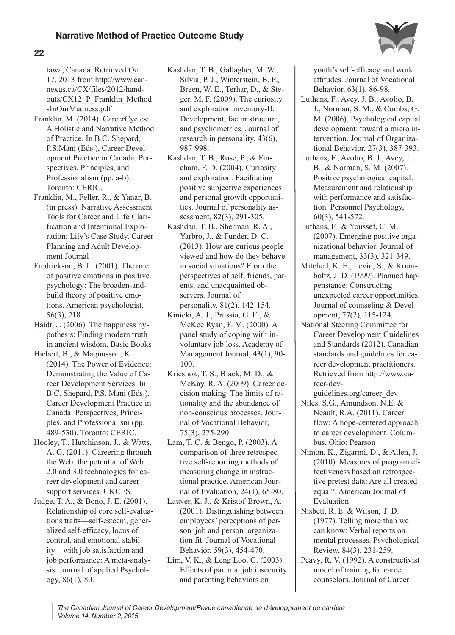

tawa, Canada. Retrieved Oct. 17, 2013 from http://www.cannexus.ca/CX/files/2012/handouts/CX12\_P\_Franklin\_Method sInOurMadness.pdf

- Franklin, M. (2014). CareerCycles: A Holistic and Narrative Method of Practice. In B.C. Shepard, P.S.Mani (Eds.), Career Development Practice in Canada: Perspectives, Principles, and Professionalism (pp. a-b). Toronto: CERIC.
- Franklin, M., Feller, R., & Yanar, B. (in press). Narrative Assessment Tools for Career and Life Clarification and Intentional Exploration: Lily's Case Study. Career Planning and Adult Development Journal
- Fredrickson, B. L. (2001). The role of positive emotions in positive psychology: The broaden-andbuild theory of positive emotions. American psychologist, 56(3), 218.
- Haidt, J. (2006). The happiness hypothesis: Finding modern truth in ancient wisdom. Basic Books
- Hiebert, B., & Magnusson, K. (2014). The Power of Evidence: Demonstrating the Value of Career Development Services. In B.C. Shepard, P.S. Mani (Eds.), Career Development Practice in Canada: Perspectives, Principles, and Professionalism (pp. 489-530). Toronto: CERIC.
- Hooley, T., Hutchinson, J., & Watts, A. G. (2011). Careering through the Web: the potential of Web 2.0 and 3.0 technologies for career development and career support services. UKCES.
- Judge, T. A., & Bono, J. E. (2001). Relationship of core self-evaluations traits—self-esteem, generalized self-efficacy, locus of control, and emotional stability—with job satisfaction and job performance: A meta-analysis. Journal of applied Psychology, 86(1), 80.

Kashdan, T. B., Gallagher, M. W., Silvia, P. J., Winterstein, B. P., Breen, W. E., Terhar, D., & Steger, M. F. (2009). The curiosity and exploration inventory-II: Development, factor structure, and psychometrics. Journal of research in personality, 43(6), 987-998.

Kashdan, T. B., Rose, P., & Fincham, F. D. (2004). Curiosity and exploration: Facilitating positive subjective experiences and personal growth opportunities. Journal of personality assessment, 82(3), 291-305.

Kashdan, T. B., Sherman, R. A., Yarbro, J., & Funder, D. C. (2013). How are curious people viewed and how do they behave in social situations? From the perspectives of self, friends, parents, and unacquainted observers. Journal of personality, 81(2), 142-154.

Kinicki, A. J., Prussia, G. E., & McKee Ryan, F. M. (2000). A panel study of coping with involuntary job loss. Academy of Management Journal, 43(1), 90- 100.

- Krieshok, T. S., Black, M. D., & McKay, R. A. (2009). Career decision making: The limits of rationality and the abundance of non-conscious processes. Journal of Vocational Behavior, 75(3), 275-290.
- Lam, T. C. & Bengo, P. (2003). A comparison of three retrospective self-reporting methods of measuring change in instructional practice. American Journal of Evaluation, 24(1), 65-80.
- Lauver, K. J., & Kristof-Brown, A. (2001). Distinguishing between employees' perceptions of person–job and person–organization fit. Journal of Vocational Behavior, 59(3), 454-470.
- Lim, V. K., & Leng Loo, G. (2003). Effects of parental job insecurity and parenting behaviors on

youth's self-efficacy and work attitudes. Journal of Vocational Behavior, 63(1), 86-98.

- Luthans, F., Avey, J. B., Avolio, B. J., Norman, S. M., & Combs, G. M. (2006). Psychological capital development: toward a micro intervention. Journal of Organizational Behavior, 27(3), 387-393.
- Luthans, F., Avolio, B. J., Avey, J. B., & Norman, S. M. (2007). Positive psychological capital: Measurement and relationship with performance and satisfaction. Personnel Psychology, 60(3), 541-572.
- Luthans, F., & Youssef, C. M. (2007). Emerging positive organizational behavior. Journal of management, 33(3), 321-349.
- Mitchell, K. E., Levin, S., & Krumboltz, J. D. (1999). Planned happenstance: Constructing unexpected career opportunities. Journal of counseling & Development, 77(2), 115-124.
- National Steering Committee for Career Development Guidelines and Standards (2012). Canadian standards and guidelines for career development practitioners. Retrieved from http://www.career-dev-
- guidelines.org/career\_dev Niles, S.G., Amundson, N.E. & Neault, R.A. (2011). Career flow: A hope-centered approach to career development. Columbus, Ohio: Pearson
- Nimon, K., Zigarmi, D., & Allen, J. (2010). Measures of program effectiveness based on retrospective pretest data: Are all created equal?. American Journal of Evaluation
- Nisbett, R. E. & Wilson, T. D. (1977). Telling more than we can know: Verbal reports on mental processes. Psychological Review, 84(3), 231-259.
- Peavy, R. V. (1992). A constructivist model of training for career counselors. Journal of Career